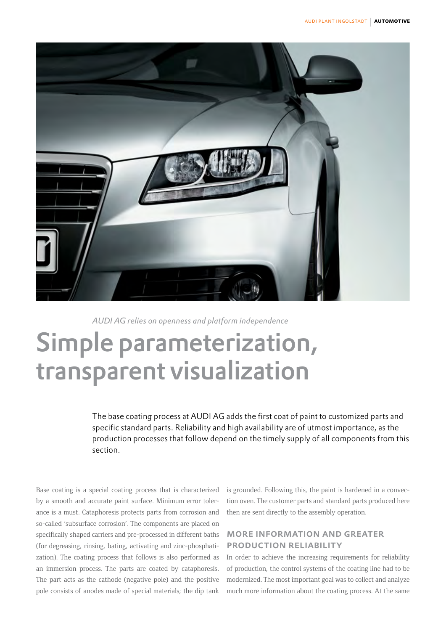

*AUDI AG relies on openness and platform independence*

# Simple parameterization, transparent visualization

The base coating process at AUDI AG adds the first coat of paint to customized parts and specific standard parts. Reliability and high availability are of utmost importance, as the production processes that follow depend on the timely supply of all components from this section.

Base coating is a special coating process that is characterized by a smooth and accurate paint surface. Minimum error tolerance is a must. Cataphoresis protects parts from corrosion and so-called 'subsurface corrosion'. The components are placed on specifically shaped carriers and pre-processed in different baths (for degreasing, rinsing, bating, activating and zinc-phosphatization). The coating process that follows is also performed as an immersion process. The parts are coated by cataphoresis. The part acts as the cathode (negative pole) and the positive pole consists of anodes made of special materials; the dip tank is grounded. Following this, the paint is hardened in a convection oven. The customer parts and standard parts produced here then are sent directly to the assembly operation.

## more information and greater production reliability

In order to achieve the increasing requirements for reliability of production, the control systems of the coating line had to be modernized. The most important goal was to collect and analyze much more information about the coating process. At the same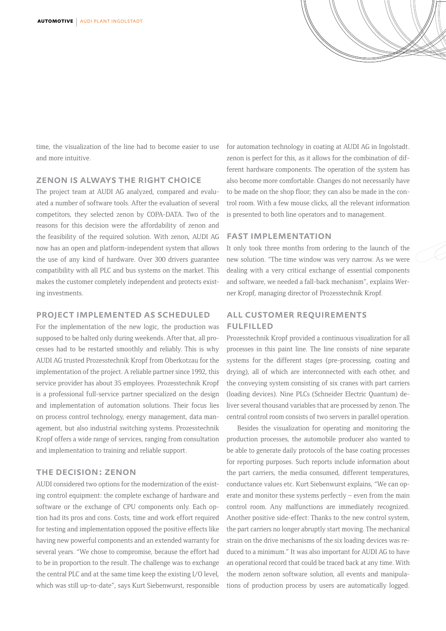time, the visualization of the line had to become easier to use and more intuitive.

#### zenon is always the right choice

The project team at AUDI AG analyzed, compared and evaluated a number of software tools. After the evaluation of several competitors, they selected zenon by COPA-DATA. Two of the reasons for this decision were the affordability of zenon and the feasibility of the required solution. With zenon, AUDI AG now has an open and platform-independent system that allows the use of any kind of hardware. Over 300 drivers guarantee compatibility with all PLC and bus systems on the market. This makes the customer completely independent and protects existing investments.

#### project implemented as scheduled

For the implementation of the new logic, the production was supposed to be halted only during weekends. After that, all processes had to be restarted smoothly and reliably. This is why AUDI AG trusted Prozesstechnik Kropf from Oberkotzau for the implementation of the project. A reliable partner since 1992, this service provider has about 35 employees. Prozesstechnik Kropf is a professional full-service partner specialized on the design and implementation of automation solutions. Their focus lies on process control technology, energy management, data management, but also industrial switching systems. Prozesstechnik Kropf offers a wide range of services, ranging from consultation and implementation to training and reliable support.

#### the decision: zenon

AUDI considered two options for the modernization of the existing control equipment: the complete exchange of hardware and software or the exchange of CPU components only. Each option had its pros and cons. Costs, time and work effort required for testing and implementation opposed the positive effects like having new powerful components and an extended warranty for several years. "We chose to compromise, because the effort had to be in proportion to the result. The challenge was to exchange the central PLC and at the same time keep the existing I/O level, which was still up-to-date", says Kurt Siebenwurst, responsible for automation technology in coating at AUDI AG in Ingolstadt. zenon is perfect for this, as it allows for the combination of different hardware components. The operation of the system has also become more comfortable. Changes do not necessarily have to be made on the shop floor; they can also be made in the control room. With a few mouse clicks, all the relevant information is presented to both line operators and to management.

#### fast implementation

It only took three months from ordering to the launch of the new solution. "The time window was very narrow. As we were dealing with a very critical exchange of essential components and software, we needed a fall-back mechanism", explains Werner Kropf, managing director of Prozesstechnik Kropf.

## all customer requirements fulfilled

Prozesstechnik Kropf provided a continuous visualization for all processes in this paint line. The line consists of nine separate systems for the different stages (pre-processing, coating and drying), all of which are interconnected with each other, and the conveying system consisting of six cranes with part carriers (loading devices). Nine PLCs (Schneider Electric Quantum) deliver several thousand variables that are processed by zenon. The central control room consists of two servers in parallel operation.

Besides the visualization for operating and monitoring the production processes, the automobile producer also wanted to be able to generate daily protocols of the base coating processes for reporting purposes. Such reports include information about the part carriers, the media consumed, different temperatures, conductance values etc. Kurt Siebenwurst explains, "We can operate and monitor these systems perfectly – even from the main control room. Any malfunctions are immediately recognized. Another positive side-effect: Thanks to the new control system, the part carriers no longer abruptly start moving. The mechanical strain on the drive mechanisms of the six loading devices was reduced to a minimum." It was also important for AUDI AG to have an operational record that could be traced back at any time. With the modern zenon software solution, all events and manipulations of production process by users are automatically logged.